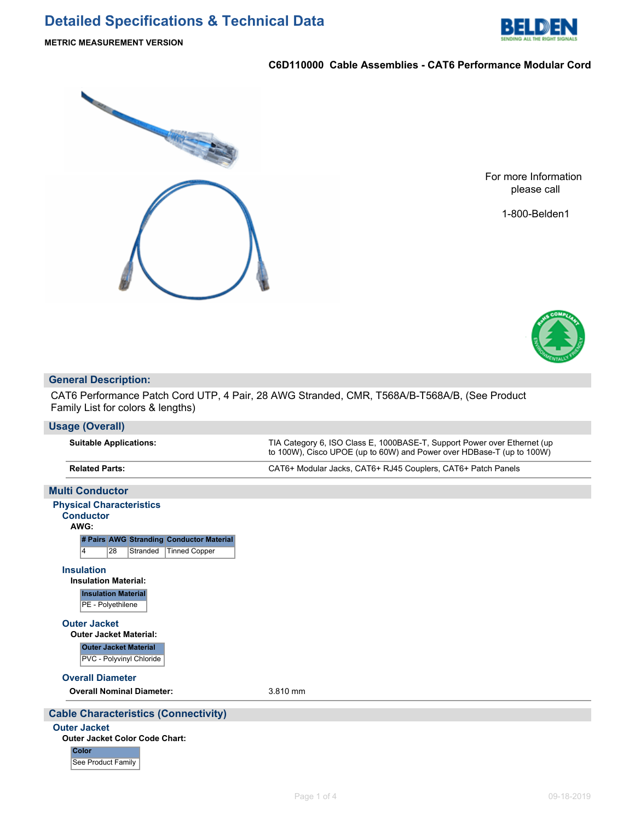

## **C6D110000 Cable Assemblies - CAT6 Performance Modular Cord**



For more Information please call

1-800-Belden1



## **General Description:**

CAT6 Performance Patch Cord UTP, 4 Pair, 28 AWG Stranded, CMR, T568A/B-T568A/B, (See Product Family List for colors & lengths)

| Usage (Overall)                         |                                                                                                                                                    |
|-----------------------------------------|----------------------------------------------------------------------------------------------------------------------------------------------------|
| <b>Suitable Applications:</b>           | TIA Category 6, ISO Class E, 1000BASE-T, Support Power over Ethernet (up)<br>to 100W), Cisco UPOE (up to 60W) and Power over HDBase-T (up to 100W) |
| <b>Related Parts:</b>                   | CAT6+ Modular Jacks, CAT6+ RJ45 Couplers, CAT6+ Patch Panels                                                                                       |
|                                         |                                                                                                                                                    |
| <b><i>Married Committee Artists</i></b> |                                                                                                                                                    |

| <b>MUITI Conductor</b>                              |          |
|-----------------------------------------------------|----------|
| <b>Physical Characteristics</b><br><b>Conductor</b> |          |
| AWG:                                                |          |
| # Pairs AWG Stranding Conductor Material            |          |
| 28<br><b>Tinned Copper</b><br>Stranded<br>14        |          |
| <b>Insulation</b>                                   |          |
| <b>Insulation Material:</b>                         |          |
| <b>Insulation Material</b><br>PE - Polyethilene     |          |
| <b>Outer Jacket</b>                                 |          |
| <b>Outer Jacket Material:</b>                       |          |
| <b>Outer Jacket Material</b>                        |          |
| PVC - Polyvinyl Chloride                            |          |
| <b>Overall Diameter</b>                             |          |
| <b>Overall Nominal Diameter:</b>                    | 3.810 mm |
| <b>Cable Characteristics (Connectivity)</b>         |          |
|                                                     |          |
| <b>Outer Jacket</b>                                 |          |

#### **Outer Jacket Color Code Chart:**

**Color** See Product Family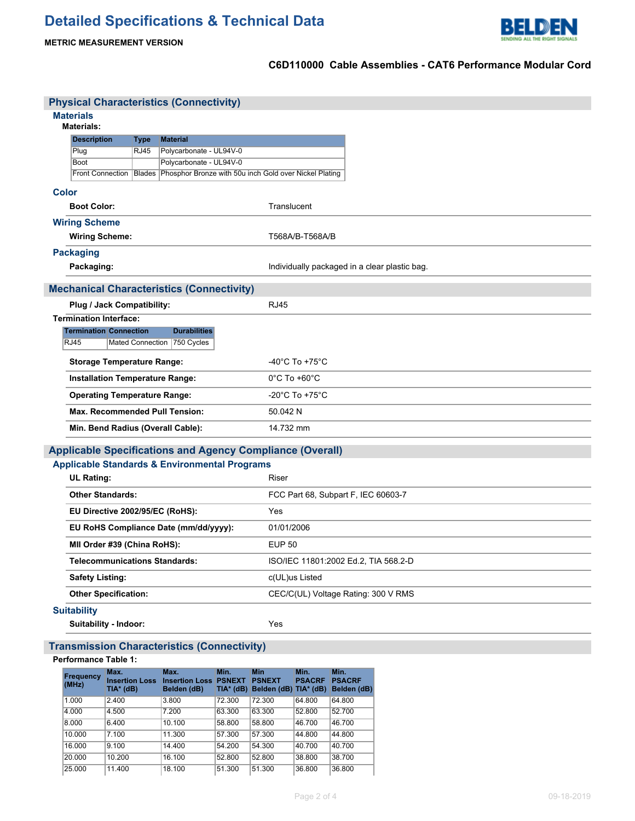

**METRIC MEASUREMENT VERSION**

## **C6D110000 Cable Assemblies - CAT6 Performance Modular Cord**

|              |                                        |             | <b>Physical Characteristics (Connectivity)</b>                                                                |                                               |  |  |  |
|--------------|----------------------------------------|-------------|---------------------------------------------------------------------------------------------------------------|-----------------------------------------------|--|--|--|
|              | <b>Materials</b><br><b>Materials:</b>  |             |                                                                                                               |                                               |  |  |  |
|              | <b>Description</b>                     | <b>Type</b> | <b>Material</b>                                                                                               |                                               |  |  |  |
|              | Plug                                   | <b>RJ45</b> | Polycarbonate - UL94V-0                                                                                       |                                               |  |  |  |
|              | <b>Boot</b>                            |             | Polycarbonate - UL94V-0<br>Front Connection   Blades   Phosphor Bronze with 50u inch Gold over Nickel Plating |                                               |  |  |  |
|              |                                        |             |                                                                                                               |                                               |  |  |  |
| <b>Color</b> |                                        |             |                                                                                                               |                                               |  |  |  |
|              | <b>Boot Color:</b>                     |             |                                                                                                               | Translucent                                   |  |  |  |
|              | <b>Wiring Scheme</b>                   |             |                                                                                                               |                                               |  |  |  |
|              | <b>Wiring Scheme:</b>                  |             |                                                                                                               | T568A/B-T568A/B                               |  |  |  |
|              | <b>Packaging</b>                       |             |                                                                                                               |                                               |  |  |  |
|              | Packaging:                             |             |                                                                                                               | Individually packaged in a clear plastic bag. |  |  |  |
|              |                                        |             | <b>Mechanical Characteristics (Connectivity)</b>                                                              |                                               |  |  |  |
|              | Plug / Jack Compatibility:             |             |                                                                                                               | <b>RJ45</b>                                   |  |  |  |
|              | <b>Termination Interface:</b>          |             |                                                                                                               |                                               |  |  |  |
|              | <b>Termination Connection</b>          |             | <b>Durabilities</b>                                                                                           |                                               |  |  |  |
|              | <b>RJ45</b>                            |             | Mated Connection 750 Cycles                                                                                   |                                               |  |  |  |
|              | <b>Storage Temperature Range:</b>      |             |                                                                                                               | $-40^{\circ}$ C To $+75^{\circ}$ C            |  |  |  |
|              | <b>Installation Temperature Range:</b> |             |                                                                                                               | $0^{\circ}$ C To +60 $^{\circ}$ C             |  |  |  |
|              | <b>Operating Temperature Range:</b>    |             |                                                                                                               | -20 $^{\circ}$ C To +75 $^{\circ}$ C          |  |  |  |
|              | <b>Max. Recommended Pull Tension:</b>  |             |                                                                                                               | 50.042 N                                      |  |  |  |
|              | Min. Bend Radius (Overall Cable):      |             |                                                                                                               | 14.732 mm                                     |  |  |  |
|              |                                        |             | <b>Applicable Specifications and Agency Compliance (Overall)</b>                                              |                                               |  |  |  |
|              |                                        |             | <b>Applicable Standards &amp; Environmental Programs</b>                                                      |                                               |  |  |  |
|              | <b>UL Rating:</b>                      |             |                                                                                                               | Riser                                         |  |  |  |
|              | <b>Other Standards:</b>                |             |                                                                                                               | FCC Part 68, Subpart F, IEC 60603-7           |  |  |  |
|              | EU Directive 2002/95/EC (RoHS):        |             |                                                                                                               | Yes                                           |  |  |  |
|              |                                        |             | EU RoHS Compliance Date (mm/dd/yyyy):                                                                         | 01/01/2006                                    |  |  |  |
|              | MII Order #39 (China RoHS):            |             |                                                                                                               | <b>EUP 50</b>                                 |  |  |  |
|              | <b>Telecommunications Standards:</b>   |             |                                                                                                               | ISO/IEC 11801:2002 Ed.2, TIA 568.2-D          |  |  |  |
|              | <b>Safety Listing:</b>                 |             |                                                                                                               | c(UL)us Listed                                |  |  |  |
|              | <b>Other Specification:</b>            |             |                                                                                                               | CEC/C(UL) Voltage Rating: 300 V RMS           |  |  |  |
|              | <b>Suitability</b>                     |             |                                                                                                               |                                               |  |  |  |
|              | Suitability - Indoor:                  |             |                                                                                                               | Yes                                           |  |  |  |
|              |                                        |             | <b>Transmission Characteristics (Connectivity)</b>                                                            |                                               |  |  |  |

#### **Performance Table 1:**

| <b>Frequency</b><br>(MHz) | Max.<br><b>Insertion Loss</b><br>TIA* (dB) | Max.<br><b>Insertion Loss</b><br>Belden (dB) | Min.<br><b>PSNEXT</b><br>$TIA*$ (dB) | <b>Min</b><br><b>PSNEXT</b><br>Belden (dB) TIA* (dB) | Min.<br><b>PSACRF</b> | Min.<br><b>PSACRF</b><br>Belden (dB) |
|---------------------------|--------------------------------------------|----------------------------------------------|--------------------------------------|------------------------------------------------------|-----------------------|--------------------------------------|
| 1.000                     | 2.400                                      | 3.800                                        | 72.300                               | 72.300                                               | 64.800                | 64.800                               |
| 4.000                     | 4.500                                      | 7.200                                        | 63.300                               | 63.300                                               | 52.800                | 52.700                               |
| 8.000                     | 6.400                                      | 10.100                                       | 58.800                               | 58.800                                               | 46.700                | 46.700                               |
| 10.000                    | 7.100                                      | 11.300                                       | 57.300                               | 57.300                                               | 44.800                | 44.800                               |
| 16.000                    | 9.100                                      | 14.400                                       | 54.200                               | 54.300                                               | 40.700                | 40.700                               |
| 20.000                    | 10.200                                     | 16.100                                       | 52.800                               | 52.800                                               | 38,800                | 38.700                               |
| 25,000                    | 11.400                                     | 18.100                                       | 51.300                               | 51.300                                               | 36,800                | 36,800                               |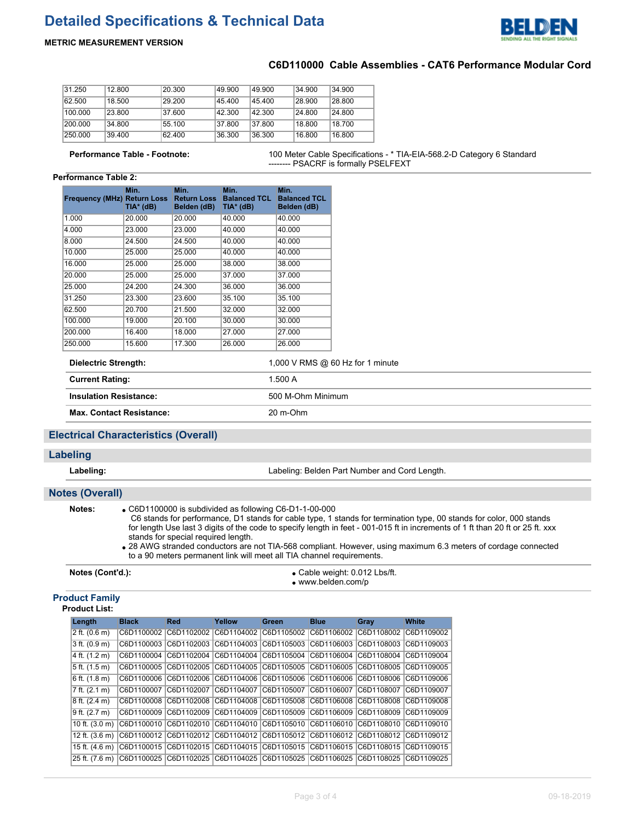# **Detailed Specifications & Technical Data**



## **METRIC MEASUREMENT VERSION**

## **C6D110000 Cable Assemblies - CAT6 Performance Modular Cord**

| 31.250  | 12.800 | 20.300 | 49.900 | 49.900 | 34.900 | 34.900 |
|---------|--------|--------|--------|--------|--------|--------|
| 62.500  | 18.500 | 29.200 | 45.400 | 45.400 | 28.900 | 28.800 |
| 100.000 | 23.800 | 37.600 | 42.300 | 42.300 | 24.800 | 24.800 |
| 200.000 | 34.800 | 55.100 | 37.800 | 37.800 | 18.800 | 18.700 |
| 250,000 | 39.400 | 62.400 | 36.300 | 36.300 | 16.800 | 16.800 |

**Performance Table - Footnote:** 100 Meter Cable Specifications - \* TIA-EIA-568.2-D Category 6 Standard -------- PSACRF is formally PSELFEXT

#### **Performance Table 2:**

| <b>Frequency (MHz) Return Loss</b> | Min.<br>TIA* (dB) | Min.<br><b>Return Loss</b><br>Belden (dB) | Min.<br><b>Balanced TCL</b><br>TIA* (dB) | Min.<br><b>Balanced TCL</b><br>Belden (dB) |
|------------------------------------|-------------------|-------------------------------------------|------------------------------------------|--------------------------------------------|
| 1.000                              | 20,000            | 20.000                                    | 40.000                                   | 40.000                                     |
| 4.000                              | 23.000            | 23.000                                    | 40.000                                   | 40.000                                     |
| 8.000                              | 24.500            | 24.500                                    | 40.000                                   | 40.000                                     |
| 10.000                             | 25.000            | 25.000                                    | 40.000                                   | 40.000                                     |
| 16.000                             | 25.000            | 25.000                                    | 38.000                                   | 38.000                                     |
| 20.000                             | 25.000            | 25.000                                    | 37.000                                   | 37.000                                     |
| 25.000                             | 24.200            | 24.300                                    | 36,000                                   | 36,000                                     |
| 31.250                             | 23.300            | 23.600                                    | 35.100                                   | 35.100                                     |
| 62.500                             | 20.700            | 21.500                                    | 32.000                                   | 32.000                                     |
| 100.000                            | 19.000            | 20.100                                    | 30.000                                   | 30.000                                     |
| 200.000                            | 16.400            | 18.000                                    | 27.000                                   | 27.000                                     |
| 250.000                            | 15,600            | 17.300                                    | 26.000                                   | 26.000                                     |

| Dielectric Strength:            | 1,000 V RMS $@60$ Hz for 1 minute |
|---------------------------------|-----------------------------------|
| <b>Current Rating:</b>          | 1.500 A                           |
| <b>Insulation Resistance:</b>   | 500 M-Ohm Minimum                 |
| <b>Max. Contact Resistance:</b> | 20 m-Ohm                          |

## **Electrical Characteristics (Overall)**

#### **Labeling**

**Labeling:** Labeling: Belden Part Number and Cord Length.

## **Notes (Overall)**

**Notes:** C6D1100000 is subdivided as following C6-D1-1-00-000

 C6 stands for performance, D1 stands for cable type, 1 stands for termination type, 00 stands for color, 000 stands for length Use last 3 digits of the code to specify length in feet - 001-015 ft in increments of 1 ft than 20 ft or 25 ft. xxx stands for special required length.

28 AWG stranded conductors are not TIA-568 compliant. However, using maximum 6.3 meters of cordage connected to a 90 meters permanent link will meet all TIA channel requirements.

| Notes (Cont'd.): | $\bullet$ Cable weight: 0.012 Lbs/ft. |
|------------------|---------------------------------------|
|                  | $\bullet$ www.belden.com/p            |

## **Product Family**

**Product List:**

| Length                    | <b>Black</b> | <b>Red</b>                       | Yellow                           | <b>Green</b>                                                           | <b>Blue</b>                      | Grav                  | White      |
|---------------------------|--------------|----------------------------------|----------------------------------|------------------------------------------------------------------------|----------------------------------|-----------------------|------------|
| 2 ft. (0.6 m)             | C6D1100002   | C6D1102002                       | C6D1104002 C6D1105002            |                                                                        | C6D1106002                       | C6D1108002 C6D1109002 |            |
| $3$ ft. $(0.9 m)$         | C6D1100003   | C6D1102003                       | C6D1104003 C6D1105003            |                                                                        | C6D1106003                       | C6D1108003            | C6D1109003 |
| 4 ft. (1.2 m)             | C6D1100004   |                                  | C6D1102004 C6D1104004 C6D1105004 |                                                                        | C6D1106004                       | C6D1108004            | C6D1109004 |
| 5 ft. (1.5 m)             | C6D1100005   | C6D1102005 C6D1104005 C6D1105005 |                                  |                                                                        | C6D1106005 C6D1108005 C6D1109005 |                       |            |
| $6$ ft. $(1.8 \text{ m})$ | C6D1100006   |                                  |                                  |                                                                        | C6D1106006                       |                       |            |
| 7 ft. (2.1 m)             | C6D1100007   |                                  | C6D1102007 C6D1104007 C6D1105007 |                                                                        | C6D1106007                       | C6D1108007            | C6D1109007 |
| $8$ ft. $(2.4 \text{ m})$ | C6D1100008   |                                  |                                  | C6D1102008  C6D1104008  C6D1105008  C6D1106008  C6D1108008  C6D1109008 |                                  |                       |            |
| $9$ ft. $(2.7 \text{ m})$ | C6D1100009   | C6D1102009                       | C6D1104009                       | C6D1105009                                                             | C6D1106009                       | C6D1108009            | C6D1109009 |
| 10 ft. $(3.0 \text{ m})$  | C6D1100010   | C6D1102010 C6D1104010 C6D1105010 |                                  |                                                                        | C6D1106010                       | C6D1108010            | C6D1109010 |
| 12 ft. $(3.6 \text{ m})$  | C6D1100012   | C6D1102012                       | C6D1104012 C6D1105012            |                                                                        | C6D1106012                       | C6D1108012            | C6D1109012 |
| 15 ft. (4.6 m)            | C6D1100015   | C6D1102015 C6D1104015 C6D1105015 |                                  |                                                                        | C6D1106015                       | C6D1108015            | C6D1109015 |
| 25 ft. (7.6 m)            | C6D1100025   |                                  |                                  | C6D1102025  C6D1104025  C6D1105025  C6D1106025  C6D1108025  C6D1109025 |                                  |                       |            |